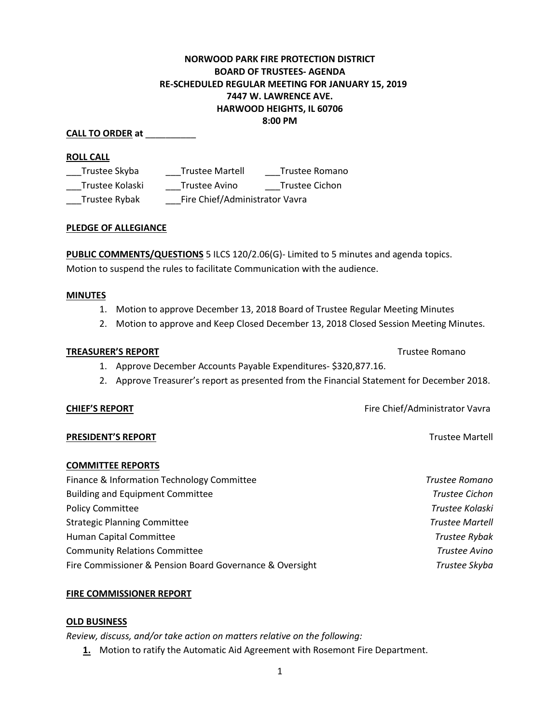# **NORWOOD PARK FIRE PROTECTION DISTRICT BOARD OF TRUSTEES- AGENDA RE-SCHEDULED REGULAR MEETING FOR JANUARY 15, 2019 7447 W. LAWRENCE AVE. HARWOOD HEIGHTS, IL 60706 8:00 PM**

## **CALL TO ORDER at** \_\_\_\_\_\_\_\_\_\_

## **ROLL CALL**

\_\_\_Trustee Skyba \_\_\_Trustee Martell \_\_\_Trustee Romano \_\_\_Trustee Kolaski \_\_\_Trustee Avino \_\_\_Trustee Cichon \_\_\_Trustee Rybak \_\_\_Fire Chief/Administrator Vavra

## **PLEDGE OF ALLEGIANCE**

**PUBLIC COMMENTS/QUESTIONS** 5 ILCS 120/2.06(G)- Limited to 5 minutes and agenda topics. Motion to suspend the rules to facilitate Communication with the audience.

#### **MINUTES**

- 1. Motion to approve December 13, 2018 Board of Trustee Regular Meeting Minutes
- 2. Motion to approve and Keep Closed December 13, 2018 Closed Session Meeting Minutes.

## **TREASURER'S REPORT** TREASURER'S REPORT

- 1. Approve December Accounts Payable Expenditures- \$320,877.16.
- 2. Approve Treasurer's report as presented from the Financial Statement for December 2018.

#### **CHIEF'S REPORT CHIEF'S REPORT Fire Chief/Administrator Vavra**

#### **PRESIDENT'S REPORT** THE RESIDENT'S REPORT

## **COMMITTEE REPORTS**

| Finance & Information Technology Committee               | Trustee Romano         |
|----------------------------------------------------------|------------------------|
| <b>Building and Equipment Committee</b>                  | <b>Trustee Cichon</b>  |
| <b>Policy Committee</b>                                  | Trustee Kolaski        |
| <b>Strategic Planning Committee</b>                      | <b>Trustee Martell</b> |
| Human Capital Committee                                  | <b>Trustee Rybak</b>   |
| <b>Community Relations Committee</b>                     | <b>Trustee Avino</b>   |
| Fire Commissioner & Pension Board Governance & Oversight | Trustee Skyba          |

## **FIRE COMMISSIONER REPORT**

#### **OLD BUSINESS**

*Review, discuss, and/or take action on matters relative on the following:*

**1.** Motion to ratify the Automatic Aid Agreement with Rosemont Fire Department.